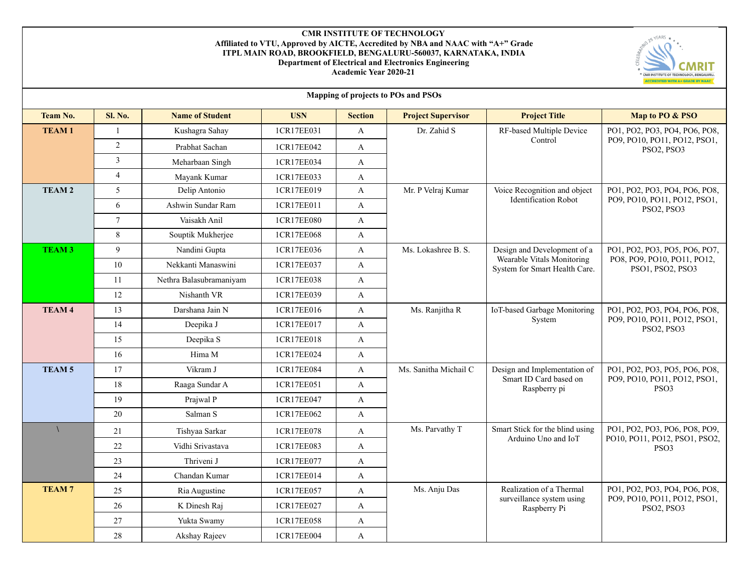## **CMR INSTITUTE OF TECHNOLOGY Affiliated to VTU, Approved by AICTE, Accredited by NBA and NAAC with "A+" Grade ITPL MAIN ROAD, BROOKFIELD, BENGALURU-560037, KARNATAKA, INDIA Department of Electrical and Electronics Engineering Academic Year 2020-21**



| Mapping of projects to POs and PSOs |                |                         |            |                |                           |                                                             |                                                                                   |  |
|-------------------------------------|----------------|-------------------------|------------|----------------|---------------------------|-------------------------------------------------------------|-----------------------------------------------------------------------------------|--|
| <b>Team No.</b>                     | <b>Sl. No.</b> | <b>Name of Student</b>  | <b>USN</b> | <b>Section</b> | <b>Project Supervisor</b> | <b>Project Title</b>                                        | Map to PO & PSO                                                                   |  |
| <b>TEAM1</b>                        | $\mathbf{1}$   | Kushagra Sahay          | 1CR17EE031 | $\mathbf{A}$   | Dr. Zahid S               | RF-based Multiple Device                                    | PO1, PO2, PO3, PO4, PO6, PO8,<br>PO9, PO10, PO11, PO12, PSO1,<br>PSO2, PSO3       |  |
|                                     | $\overline{2}$ | Prabhat Sachan          | 1CR17EE042 | A              |                           | Control                                                     |                                                                                   |  |
|                                     | 3              | Meharbaan Singh         | 1CR17EE034 | $\mathbf{A}$   |                           |                                                             |                                                                                   |  |
|                                     | $\overline{4}$ | Mayank Kumar            | 1CR17EE033 | $\mathbf{A}$   |                           |                                                             |                                                                                   |  |
| <b>TEAM2</b>                        | 5              | Delip Antonio           | 1CR17EE019 | A              | Mr. P Velraj Kumar        | Voice Recognition and object                                | PO1, PO2, PO3, PO4, PO6, PO8,<br>PO9, PO10, PO11, PO12, PSO1,<br>PSO2, PSO3       |  |
|                                     | 6              | Ashwin Sundar Ram       | 1CR17EE011 | $\mathbf{A}$   |                           | <b>Identification Robot</b>                                 |                                                                                   |  |
|                                     | $\overline{7}$ | Vaisakh Anil            | 1CR17EE080 | A              |                           |                                                             |                                                                                   |  |
|                                     | $\,8\,$        | Souptik Mukherjee       | 1CR17EE068 | $\mathbf{A}$   |                           |                                                             |                                                                                   |  |
| <b>TEAM3</b>                        | 9              | Nandini Gupta           | 1CR17EE036 | $\mathbf{A}$   | Ms. Lokashree B. S.       | Design and Development of a                                 | PO1, PO2, PO3, PO5, PO6, PO7,<br>PO8, PO9, PO10, PO11, PO12,<br>PSO1, PSO2, PSO3  |  |
|                                     | 10             | Nekkanti Manaswini      | 1CR17EE037 | $\mathbf{A}$   |                           | Wearable Vitals Monitoring<br>System for Smart Health Care. |                                                                                   |  |
|                                     | 11             | Nethra Balasubramaniyam | 1CR17EE038 | $\mathbf{A}$   |                           |                                                             |                                                                                   |  |
|                                     | 12             | Nishanth VR             | 1CR17EE039 | $\mathbf{A}$   |                           |                                                             |                                                                                   |  |
| <b>TEAM 4</b>                       | 13             | Darshana Jain N         | 1CR17EE016 | $\mathbf{A}$   | Ms. Ranjitha R            | IoT-based Garbage Monitoring<br>System                      | PO1, PO2, PO3, PO4, PO6, PO8,<br>PO9, PO10, PO11, PO12, PSO1,<br>PSO2, PSO3       |  |
|                                     | 14             | Deepika J               | 1CR17EE017 | $\mathbf{A}$   |                           |                                                             |                                                                                   |  |
|                                     | 15             | Deepika S               | 1CR17EE018 | $\mathbf{A}$   |                           |                                                             |                                                                                   |  |
|                                     | 16             | Hima M                  | 1CR17EE024 | $\mathbf{A}$   |                           |                                                             |                                                                                   |  |
| <b>TEAM5</b>                        | 17             | Vikram J                | 1CR17EE084 | $\mathbf{A}$   | Ms. Sanitha Michail C     | Design and Implementation of                                | PO1, PO2, PO3, PO5, PO6, PO8,<br>PO9, PO10, PO11, PO12, PSO1,<br>PSO <sub>3</sub> |  |
|                                     | 18             | Raaga Sundar A          | 1CR17EE051 | $\mathbf{A}$   |                           | Smart ID Card based on<br>Raspberry pi                      |                                                                                   |  |
|                                     | 19             | Prajwal P               | 1CR17EE047 | $\mathbf{A}$   |                           |                                                             |                                                                                   |  |
|                                     | 20             | Salman S                | 1CR17EE062 | $\mathbf{A}$   |                           |                                                             |                                                                                   |  |
|                                     | 21             | Tishyaa Sarkar          | 1CR17EE078 | A              | Ms. Parvathy T            | Smart Stick for the blind using                             | PO1, PO2, PO3, PO6, PO8, PO9,<br>PO10, PO11, PO12, PSO1, PSO2,<br>PSO3            |  |
|                                     | 22             | Vidhi Srivastava        | 1CR17EE083 | $\mathbf{A}$   |                           | Arduino Uno and IoT                                         |                                                                                   |  |
|                                     | 23             | Thriveni J              | 1CR17EE077 | A              |                           |                                                             |                                                                                   |  |
|                                     | 24             | Chandan Kumar           | 1CR17EE014 | $\mathbf{A}$   |                           |                                                             |                                                                                   |  |
| <b>TEAM7</b>                        | 25             | Ria Augustine           | 1CR17EE057 | $\mathbf{A}$   | Ms. Anju Das              | Realization of a Thermal                                    | PO1, PO2, PO3, PO4, PO6, PO8,                                                     |  |
|                                     | 26             | K Dinesh Raj            | 1CR17EE027 | A              |                           | surveillance system using<br>Raspberry Pi                   | PO9, PO10, PO11, PO12, PSO1,<br>PSO2, PSO3                                        |  |
|                                     | 27             | Yukta Swamy             | 1CR17EE058 | A              |                           |                                                             |                                                                                   |  |
|                                     | 28             | Akshay Rajeev           | 1CR17EE004 | A              |                           |                                                             |                                                                                   |  |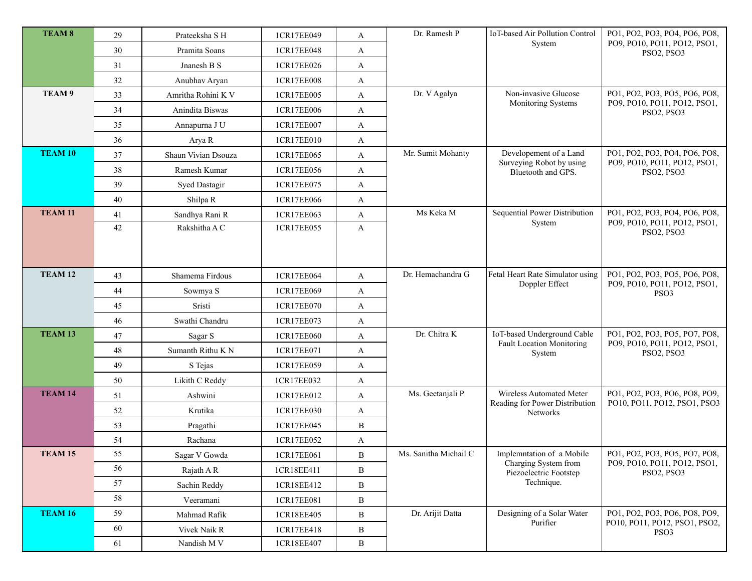| <b>TEAM 8</b>      | 29 | Prateeksha S H       | 1CR17EE049 | A            | Dr. Ramesh P          | IoT-based Air Pollution Control<br>System                  | PO1, PO2, PO3, PO4, PO6, PO8,<br>PO9, PO10, PO11, PO12, PSO1, |
|--------------------|----|----------------------|------------|--------------|-----------------------|------------------------------------------------------------|---------------------------------------------------------------|
|                    | 30 | Pramita Soans        | 1CR17EE048 | A            |                       |                                                            | PSO2, PSO3                                                    |
|                    | 31 | Jnanesh B S          | 1CR17EE026 | A            |                       |                                                            |                                                               |
|                    | 32 | Anubhav Aryan        | 1CR17EE008 | A            |                       |                                                            |                                                               |
| TEAM 9             | 33 | Amritha Rohini K V   | 1CR17EE005 | A            | Dr. V Agalya          | Non-invasive Glucose<br>Monitoring Systems                 | PO1, PO2, PO3, PO5, PO6, PO8,<br>PO9, PO10, PO11, PO12, PSO1, |
|                    | 34 | Anindita Biswas      | 1CR17EE006 | A            |                       |                                                            | PSO2, PSO3                                                    |
|                    | 35 | Annapurna J U        | 1CR17EE007 | A            |                       |                                                            |                                                               |
|                    | 36 | Arya R               | 1CR17EE010 | A            |                       |                                                            |                                                               |
| <b>TEAM 10</b>     | 37 | Shaun Vivian Dsouza  | 1CR17EE065 | A            | Mr. Sumit Mohanty     | Developement of a Land                                     | PO1, PO2, PO3, PO4, PO6, PO8,                                 |
|                    | 38 | Ramesh Kumar         | 1CR17EE056 | A            |                       | Surveying Robot by using<br>Bluetooth and GPS.             | PO9, PO10, PO11, PO12, PSO1,<br>PSO2, PSO3                    |
|                    | 39 | <b>Syed Dastagir</b> | 1CR17EE075 | A            |                       |                                                            |                                                               |
|                    | 40 | Shilpa R             | 1CR17EE066 | $\mathbf{A}$ |                       |                                                            |                                                               |
| <b>TEAM 11</b>     | 41 | Sandhya Rani R       | 1CR17EE063 | A            | Ms Keka M             | Sequential Power Distribution<br>System                    | PO1, PO2, PO3, PO4, PO6, PO8,                                 |
|                    | 42 | Rakshitha A C        | 1CR17EE055 | A            |                       |                                                            | PO9, PO10, PO11, PO12, PSO1,<br>PSO2, PSO3                    |
|                    |    |                      |            |              |                       |                                                            |                                                               |
|                    |    |                      |            |              |                       |                                                            |                                                               |
| TEAM <sub>12</sub> | 43 | Shamema Firdous      | 1CR17EE064 | $\mathbf{A}$ | Dr. Hemachandra G     | Fetal Heart Rate Simulator using                           | PO1, PO2, PO3, PO5, PO6, PO8,<br>PO9, PO10, PO11, PO12, PSO1, |
|                    | 44 | Sowmya S             | 1CR17EE069 | A            |                       | Doppler Effect                                             | PSO <sub>3</sub>                                              |
|                    | 45 | Sristi               | 1CR17EE070 | A            |                       |                                                            |                                                               |
|                    | 46 | Swathi Chandru       | 1CR17EE073 | A            |                       |                                                            |                                                               |
| TEAM <sub>13</sub> | 47 | Sagar S              | 1CR17EE060 | A            | Dr. Chitra K          | IoT-based Underground Cable                                | PO1, PO2, PO3, PO5, PO7, PO8,                                 |
|                    | 48 | Sumanth Rithu K N    | 1CR17EE071 | A            |                       | <b>Fault Location Monitoring</b><br>System                 | PO9, PO10, PO11, PO12, PSO1,<br>PSO2, PSO3                    |
|                    | 49 | S Tejas              | 1CR17EE059 | A            |                       |                                                            |                                                               |
|                    | 50 | Likith C Reddy       | 1CR17EE032 | A            |                       |                                                            |                                                               |
| TEAM 14            | 51 | Ashwini              | 1CR17EE012 | A            | Ms. Geetanjali P      | Wireless Automated Meter<br>Reading for Power Distribution | PO1, PO2, PO3, PO6, PO8, PO9,                                 |
|                    | 52 | Krutika              | 1CR17EE030 | A            |                       | Networks                                                   | PO10, PO11, PO12, PSO1, PSO3                                  |
|                    | 53 | Pragathi             | 1CR17EE045 | B            |                       |                                                            |                                                               |
|                    | 54 | Rachana              | 1CR17EE052 | A            |                       |                                                            |                                                               |
| <b>TEAM 15</b>     | 55 | Sagar V Gowda        | 1CR17EE061 | B            | Ms. Sanitha Michail C | Implemntation of a Mobile<br>Charging System from          | PO1, PO2, PO3, PO5, PO7, PO8,<br>PO9, PO10, PO11, PO12, PSO1, |
|                    | 56 | Rajath A R           | 1CR18EE411 | B            |                       | Piezoelectric Footstep                                     | PSO2, PSO3                                                    |
|                    | 57 | Sachin Reddy         | 1CR18EE412 | $\, {\bf B}$ |                       | Technique.                                                 |                                                               |
|                    | 58 | Veeramani            | 1CR17EE081 | B            |                       |                                                            |                                                               |
| <b>TEAM 16</b>     | 59 | Mahmad Rafik         | 1CR18EE405 | B            | Dr. Arijit Datta      | Designing of a Solar Water                                 | PO1, PO2, PO3, PO6, PO8, PO9,                                 |
|                    | 60 | Vivek Naik R         | 1CR17EE418 | B            |                       | Purifier                                                   | PO10, PO11, PO12, PSO1, PSO2,<br>PSO <sub>3</sub>             |
|                    | 61 | Nandish M V          | 1CR18EE407 | $\mathbf B$  |                       |                                                            |                                                               |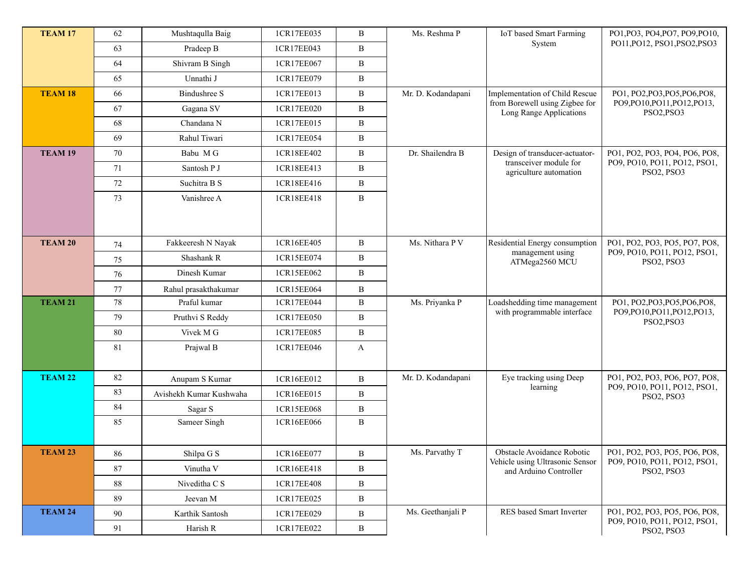| <b>TEAM 17</b>     | 62 | Mushtaqulla Baig        | 1CR17EE035 | B            | Ms. Reshma P       | IoT based Smart Farming                                     | PO1, PO3, PO4, PO7, PO9, PO10,                                              |
|--------------------|----|-------------------------|------------|--------------|--------------------|-------------------------------------------------------------|-----------------------------------------------------------------------------|
|                    | 63 | Pradeep B               | 1CR17EE043 | B            |                    | System                                                      | PO11, PO12, PSO1, PSO2, PSO3                                                |
|                    | 64 | Shivram B Singh         | 1CR17EE067 | B            |                    |                                                             |                                                                             |
|                    | 65 | Unnathi J               | 1CR17EE079 | B            |                    |                                                             |                                                                             |
| <b>TEAM 18</b>     | 66 | <b>Bindushree S</b>     | 1CR17EE013 | B            | Mr. D. Kodandapani | Implementation of Child Rescue                              | PO1, PO2, PO3, PO5, PO6, PO8,                                               |
|                    | 67 | Gagana SV               | 1CR17EE020 | B            |                    | from Borewell using Zigbee for<br>Long Range Applications   | PO9,PO10,PO11,PO12,PO13,<br>PSO2, PSO3                                      |
|                    | 68 | Chandana N              | 1CR17EE015 | B            |                    |                                                             |                                                                             |
|                    | 69 | Rahul Tiwari            | 1CR17EE054 | B            |                    |                                                             |                                                                             |
| TEAM <sub>19</sub> | 70 | Babu MG                 | 1CR18EE402 | B            | Dr. Shailendra B   | Design of transducer-actuator-                              | PO1, PO2, PO3, PO4, PO6, PO8,<br>PO9, PO10, PO11, PO12, PSO1,<br>PSO2, PSO3 |
|                    | 71 | Santosh P J             | 1CR18EE413 | B            |                    | transceiver module for<br>agriculture automation            |                                                                             |
|                    | 72 | Suchitra B S            | 1CR18EE416 | B            |                    |                                                             |                                                                             |
|                    | 73 | Vanishree A             | 1CR18EE418 | B            |                    |                                                             |                                                                             |
|                    |    |                         |            |              |                    |                                                             |                                                                             |
|                    |    |                         |            |              |                    |                                                             |                                                                             |
| <b>TEAM 20</b>     | 74 | Fakkeeresh N Nayak      | 1CR16EE405 | B            | Ms. Nithara P V    | Residential Energy consumption                              | PO1, PO2, PO3, PO5, PO7, PO8,                                               |
|                    | 75 | Shashank R              | 1CR15EE074 | B            |                    | management using<br>ATMega2560 MCU                          | PO9, PO10, PO11, PO12, PSO1,<br>PSO2, PSO3                                  |
|                    | 76 | Dinesh Kumar            | 1CR15EE062 | B            |                    |                                                             |                                                                             |
|                    | 77 | Rahul prasakthakumar    | 1CR15EE064 | B            |                    |                                                             |                                                                             |
| <b>TEAM 21</b>     | 78 | Praful kumar            | 1CR17EE044 | B            | Ms. Priyanka P     | Loadshedding time management<br>with programmable interface | PO1, PO2, PO3, PO5, PO6, PO8,<br>PO9,PO10,PO11,PO12,PO13,<br>PSO2, PSO3     |
|                    | 79 | Pruthvi S Reddy         | 1CR17EE050 | B            |                    |                                                             |                                                                             |
|                    | 80 | Vivek M G               | 1CR17EE085 | B            |                    |                                                             |                                                                             |
|                    | 81 | Prajwal B               | 1CR17EE046 | $\mathbf{A}$ |                    |                                                             |                                                                             |
|                    |    |                         |            |              |                    |                                                             |                                                                             |
| <b>TEAM 22</b>     | 82 | Anupam S Kumar          | 1CR16EE012 | B            | Mr. D. Kodandapani | Eye tracking using Deep<br>learning                         | PO1, PO2, PO3, PO6, PO7, PO8,                                               |
|                    | 83 | Avishekh Kumar Kushwaha | 1CR16EE015 | B            |                    |                                                             | PO9, PO10, PO11, PO12, PSO1,<br>PSO2, PSO3                                  |
|                    | 84 | Sagar S                 | 1CR15EE068 | B            |                    |                                                             |                                                                             |
|                    | 85 | Sameer Singh            | 1CR16EE066 | B            |                    |                                                             |                                                                             |
|                    |    |                         |            |              |                    |                                                             |                                                                             |
| <b>TEAM 23</b>     | 86 | Shilpa G S              | 1CR16EE077 | B            | Ms. Parvathy T     | Obstacle Avoidance Robotic                                  | PO1, PO2, PO3, PO5, PO6, PO8,<br>PO9, PO10, PO11, PO12, PSO1,               |
|                    | 87 | Vinutha V               | 1CR16EE418 | B            |                    | Vehicle using Ultrasonic Sensor<br>and Arduino Controller   | PSO2, PSO3                                                                  |
|                    | 88 | Niveditha C S           | 1CR17EE408 | B            |                    |                                                             |                                                                             |
|                    | 89 | Jeevan M                | 1CR17EE025 | B            |                    |                                                             |                                                                             |
| <b>TEAM 24</b>     | 90 | Karthik Santosh         | 1CR17EE029 | B            | Ms. Geethanjali P  | RES based Smart Inverter                                    | PO1, PO2, PO3, PO5, PO6, PO8,                                               |
|                    | 91 | Harish R                | 1CR17EE022 | B            |                    |                                                             | PO9, PO10, PO11, PO12, PSO1,<br>PSO2, PSO3                                  |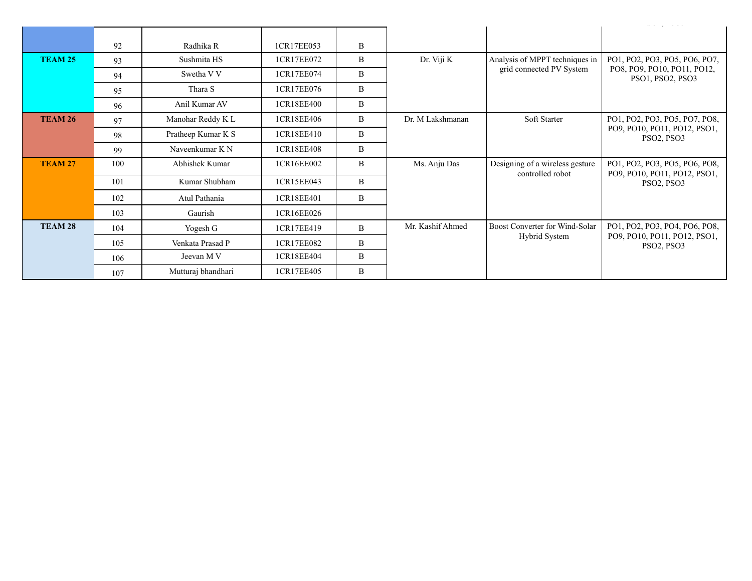|                    | 92  | Radhika R          | 1CR17EE053 | B |                  |                                                     |                                                               |
|--------------------|-----|--------------------|------------|---|------------------|-----------------------------------------------------|---------------------------------------------------------------|
| <b>TEAM 25</b>     | 93  | Sushmita HS        | 1CR17EE072 | B | Dr. Viji K       | Analysis of MPPT techniques in                      | PO1, PO2, PO3, PO5, PO6, PO7,                                 |
|                    | 94  | Swetha V V         | 1CR17EE074 | B |                  | grid connected PV System                            | PO8, PO9, PO10, PO11, PO12,<br>PSO1, PSO2, PSO3               |
|                    | 95  | Thara S            | 1CR17EE076 | B |                  |                                                     |                                                               |
|                    | 96  | Anil Kumar AV      | 1CR18EE400 | B |                  |                                                     |                                                               |
| <b>TEAM 26</b>     | 97  | Manohar Reddy K L  | 1CR18EE406 | B | Dr. M Lakshmanan | Soft Starter                                        | PO1, PO2, PO3, PO5, PO7, PO8,                                 |
|                    | 98  | Pratheep Kumar K S | 1CR18EE410 | B |                  |                                                     | PO9, PO10, PO11, PO12, PSO1,<br>PSO2, PSO3                    |
|                    | 99  | Naveenkumar K N    | 1CR18EE408 | B |                  |                                                     |                                                               |
| TEAM <sub>27</sub> | 100 | Abhishek Kumar     | 1CR16EE002 | B | Ms. Anju Das     | Designing of a wireless gesture<br>controlled robot | PO1, PO2, PO3, PO5, PO6, PO8,<br>PO9, PO10, PO11, PO12, PSO1, |
|                    | 101 | Kumar Shubham      | 1CR15EE043 | B |                  |                                                     | PSO2, PSO3                                                    |
|                    | 102 | Atul Pathania      | 1CR18EE401 | B |                  |                                                     |                                                               |
|                    | 103 | Gaurish            | 1CR16EE026 |   |                  |                                                     |                                                               |
| TEAM 28            | 104 | Yogesh G           | 1CR17EE419 | B | Mr. Kashif Ahmed | Boost Converter for Wind-Solar                      | PO1, PO2, PO3, PO4, PO6, PO8,                                 |
|                    | 105 | Venkata Prasad P   | 1CR17EE082 | B |                  | <b>Hybrid System</b>                                | PO9, PO10, PO11, PO12, PSO1,<br>PSO2, PSO3                    |
|                    | 106 | Jeevan M V         | 1CR18EE404 | B |                  |                                                     |                                                               |
|                    | 107 | Mutturaj bhandhari | 1CR17EE405 | B |                  |                                                     |                                                               |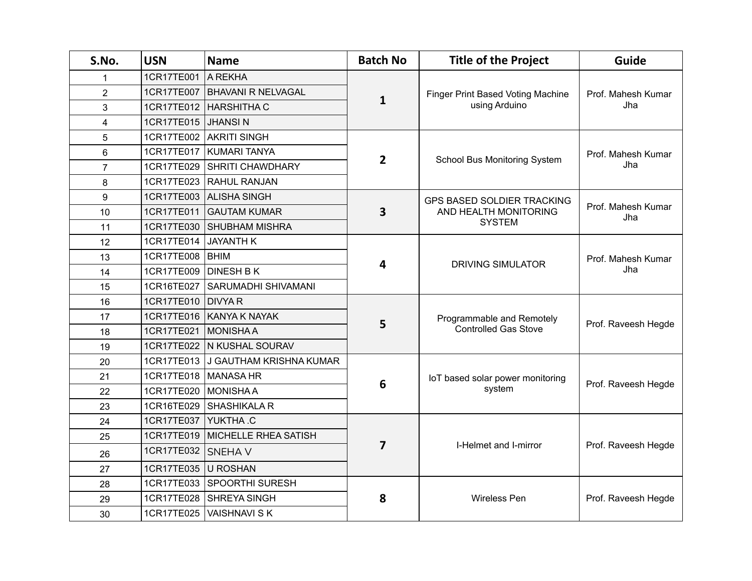| S.No.          | <b>USN</b> | <b>Name</b>                 | <b>Batch No</b>         | <b>Title of the Project</b>                               | Guide                     |
|----------------|------------|-----------------------------|-------------------------|-----------------------------------------------------------|---------------------------|
| 1              | 1CR17TE001 | A REKHA                     |                         |                                                           | Prof. Mahesh Kumar<br>Jha |
| $\overline{2}$ | 1CR17TE007 | <b>BHAVANI R NELVAGAL</b>   |                         | <b>Finger Print Based Voting Machine</b><br>using Arduino |                           |
| 3              | 1CR17TE012 | <b>HARSHITHA C</b>          | $\mathbf{1}$            |                                                           |                           |
| 4              | 1CR17TE015 | <b>JHANSIN</b>              |                         |                                                           |                           |
| 5              | 1CR17TE002 | <b>AKRITI SINGH</b>         |                         |                                                           |                           |
| 6              | 1CR17TE017 | <b>KUMARI TANYA</b>         |                         |                                                           | Prof. Mahesh Kumar        |
| $\overline{7}$ | 1CR17TE029 | SHRITI CHAWDHARY            | $\overline{2}$          | School Bus Monitoring System                              | Jha                       |
| 8              | 1CR17TE023 | <b>RAHUL RANJAN</b>         |                         |                                                           |                           |
| 9              | 1CR17TE003 | <b>ALISHA SINGH</b>         |                         | <b>GPS BASED SOLDIER TRACKING</b>                         |                           |
| 10             | 1CR17TE011 | <b>GAUTAM KUMAR</b>         | 3                       | AND HEALTH MONITORING<br><b>SYSTEM</b>                    | Prof. Mahesh Kumar<br>Jha |
| 11             | 1CR17TE030 | <b>SHUBHAM MISHRA</b>       |                         |                                                           |                           |
| 12             | 1CR17TE014 | <b>JAYANTH K</b>            |                         | <b>DRIVING SIMULATOR</b>                                  | Prof. Mahesh Kumar<br>Jha |
| 13             | 1CR17TE008 | <b>BHIM</b>                 |                         |                                                           |                           |
| 14             | 1CR17TE009 | <b>DINESH B K</b>           | 4                       |                                                           |                           |
| 15             | 1CR16TE027 | <b>SARUMADHI SHIVAMANI</b>  |                         |                                                           |                           |
| 16             | 1CR17TE010 | <b>DIVYAR</b>               |                         | Programmable and Remotely<br><b>Controlled Gas Stove</b>  | Prof. Raveesh Hegde       |
| 17             | 1CR17TE016 | <b>KANYA K NAYAK</b>        | 5                       |                                                           |                           |
| 18             | 1CR17TE021 | <b>MONISHAA</b>             |                         |                                                           |                           |
| 19             | 1CR17TE022 | N KUSHAL SOURAV             |                         |                                                           |                           |
| 20             | 1CR17TE013 | J GAUTHAM KRISHNA KUMAR     |                         |                                                           |                           |
| 21             | 1CR17TE018 | <b>MANASA HR</b>            | 6                       | IoT based solar power monitoring<br>system                | Prof. Raveesh Hegde       |
| 22             | 1CR17TE020 | <b>MONISHAA</b>             |                         |                                                           |                           |
| 23             | 1CR16TE029 | <b>SHASHIKALAR</b>          |                         |                                                           |                           |
| 24             | 1CR17TE037 | YUKTHA.C                    |                         | I-Helmet and I-mirror                                     |                           |
| 25             | 1CR17TE019 | <b>MICHELLE RHEA SATISH</b> |                         |                                                           | Prof. Raveesh Hegde       |
| 26             | 1CR17TE032 | <b>SNEHAV</b>               | $\overline{\mathbf{z}}$ |                                                           |                           |
| 27             | 1CR17TE035 | <b>U ROSHAN</b>             |                         |                                                           |                           |
| 28             | 1CR17TE033 | <b>SPOORTHI SURESH</b>      |                         |                                                           | Prof. Raveesh Hegde       |
| 29             | 1CR17TE028 | SHREYA SINGH                | 8                       | Wireless Pen                                              |                           |
| 30             | 1CR17TE025 | <b>VAISHNAVI S K</b>        |                         |                                                           |                           |